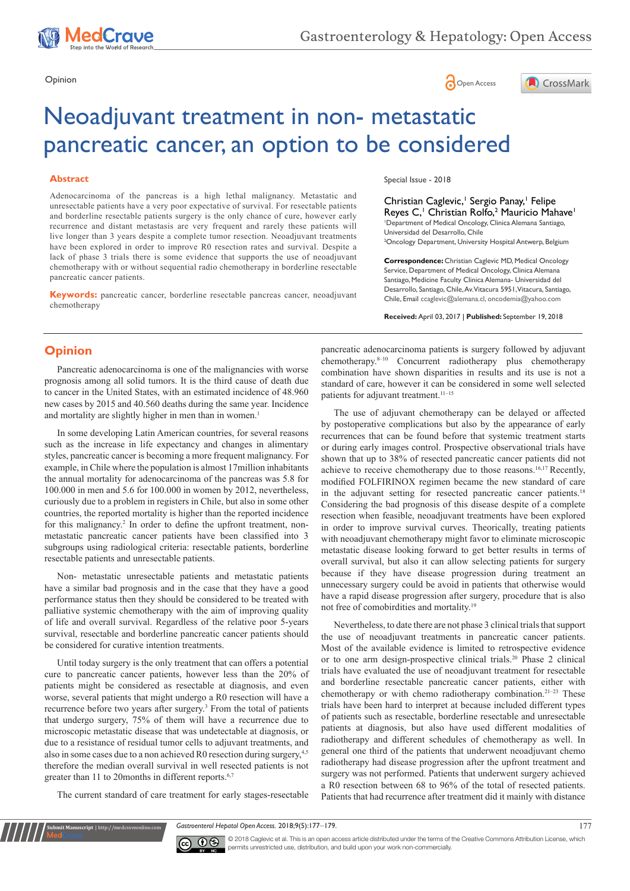





# Neoadjuvant treatment in non- metastatic pancreatic cancer, an option to be considered

#### **Abstract**

Adenocarcinoma of the pancreas is a high lethal malignancy. Metastatic and unresectable patients have a very poor expectative of survival. For resectable patients and borderline resectable patients surgery is the only chance of cure, however early recurrence and distant metastasis are very frequent and rarely these patients will live longer than 3 years despite a complete tumor resection. Neoadjuvant treatments have been explored in order to improve R0 resection rates and survival. Despite a lack of phase 3 trials there is some evidence that supports the use of neoadjuvant chemotherapy with or without sequential radio chemotherapy in borderline resectable pancreatic cancer patients.

**Keywords:** pancreatic cancer, borderline resectable pancreas cancer, neoadjuvant chemotherapy

Special Issue - 2018

Christian Caglevic,<sup>1</sup> Sergio Panay,<sup>1</sup> Felipe Reyes C,<sup>1</sup> Christian Rolfo,<sup>2</sup> Mauricio Mahave<sup>1</sup> 1 Department of Medical Oncology, Clinica Alemana Santiago, Universidad del Desarrollo, Chile 2 Oncology Department, University Hospital Antwerp, Belgium

**Correspondence:** Christian Caglevic MD, Medical Oncology Service, Department of Medical Oncology, Clinica Alemana Santiago, Medicine Faculty Clinica Alemana- Universidad del Desarrollo, Santiago, Chile, Av. Vitacura 5951, Vitacura, Santiago, Chile, Email ccaglevic@alemana.cl, oncodemia@yahoo.com

**Received:** April 03, 2017 | **Published:** September 19, 2018

# **Opinion**

Pancreatic adenocarcinoma is one of the malignancies with worse prognosis among all solid tumors. It is the third cause of death due to cancer in the United States, with an estimated incidence of 48.960 new cases by 2015 and 40.560 deaths during the same year. Incidence and mortality are slightly higher in men than in women.<sup>1</sup>

In some developing Latin American countries, for several reasons such as the increase in life expectancy and changes in alimentary styles, pancreatic cancer is becoming a more frequent malignancy. For example, in Chile where the population is almost 17million inhabitants the annual mortality for adenocarcinoma of the pancreas was 5.8 for 100.000 in men and 5.6 for 100.000 in women by 2012, nevertheless, curiously due to a problem in registers in Chile, but also in some other countries, the reported mortality is higher than the reported incidence for this malignancy.<sup>2</sup> In order to define the upfront treatment, nonmetastatic pancreatic cancer patients have been classified into 3 subgroups using radiological criteria: resectable patients, borderline resectable patients and unresectable patients.

Non- metastatic unresectable patients and metastatic patients have a similar bad prognosis and in the case that they have a good performance status then they should be considered to be treated with palliative systemic chemotherapy with the aim of improving quality of life and overall survival. Regardless of the relative poor 5-years survival, resectable and borderline pancreatic cancer patients should be considered for curative intention treatments.

Until today surgery is the only treatment that can offers a potential cure to pancreatic cancer patients, however less than the 20% of patients might be considered as resectable at diagnosis, and even worse, several patients that might undergo a R0 resection will have a recurrence before two years after surgery.<sup>3</sup> From the total of patients that undergo surgery, 75% of them will have a recurrence due to microscopic metastatic disease that was undetectable at diagnosis, or due to a resistance of residual tumor cells to adjuvant treatments, and also in some cases due to a non achieved R0 resection during surgery,<sup>4,5</sup> therefore the median overall survival in well resected patients is not greater than 11 to 20months in different reports.<sup>6,7</sup>

The current standard of care treatment for early stages-resectable

**Kubmit Manuscript** | http://medcraveonline.com

pancreatic adenocarcinoma patients is surgery followed by adjuvant chemotherapy.<sup>8-10</sup> Concurrent radiotherapy plus chemotherapy combination have shown disparities in results and its use is not a standard of care, however it can be considered in some well selected patients for adjuvant treatment.<sup>11-15</sup>

The use of adjuvant chemotherapy can be delayed or affected by postoperative complications but also by the appearance of early recurrences that can be found before that systemic treatment starts or during early images control. Prospective observational trials have shown that up to 38% of resected pancreatic cancer patients did not achieve to receive chemotherapy due to those reasons.16,17 Recently, modified FOLFIRINOX regimen became the new standard of care in the adjuvant setting for resected pancreatic cancer patients.18 Considering the bad prognosis of this disease despite of a complete resection when feasible, neoadjuvant treatments have been explored in order to improve survival curves. Theorically, treating patients with neoadjuvant chemotherapy might favor to eliminate microscopic metastatic disease looking forward to get better results in terms of overall survival, but also it can allow selecting patients for surgery because if they have disease progression during treatment an unnecessary surgery could be avoid in patients that otherwise would have a rapid disease progression after surgery, procedure that is also not free of comobirdities and mortality.19

Nevertheless, to date there are not phase 3 clinical trials that support the use of neoadjuvant treatments in pancreatic cancer patients. Most of the available evidence is limited to retrospective evidence or to one arm design-prospective clinical trials.20 Phase 2 clinical trials have evaluated the use of neoadjuvant treatment for resectable and borderline resectable pancreatic cancer patients, either with chemotherapy or with chemo radiotherapy combination.<sup>21-23</sup> These trials have been hard to interpret at because included different types of patients such as resectable, borderline resectable and unresectable patients at diagnosis, but also have used different modalities of radiotherapy and different schedules of chemotherapy as well. In general one third of the patients that underwent neoadjuvant chemo radiotherapy had disease progression after the upfront treatment and surgery was not performed. Patients that underwent surgery achieved a R0 resection between 68 to 96% of the total of resected patients. Patients that had recurrence after treatment did it mainly with distance

Gastroenterol Hepatol Open Access. 2018;9(5):177–179. 177



© 2018 Caglevic et al. This is an open access article distributed under the terms of the [Creative Commons Attribution License,](https://creativecommons.org/licenses/by-nc/4.0/) which permits unrestricted use, distribution, and build upon your work non-commercially.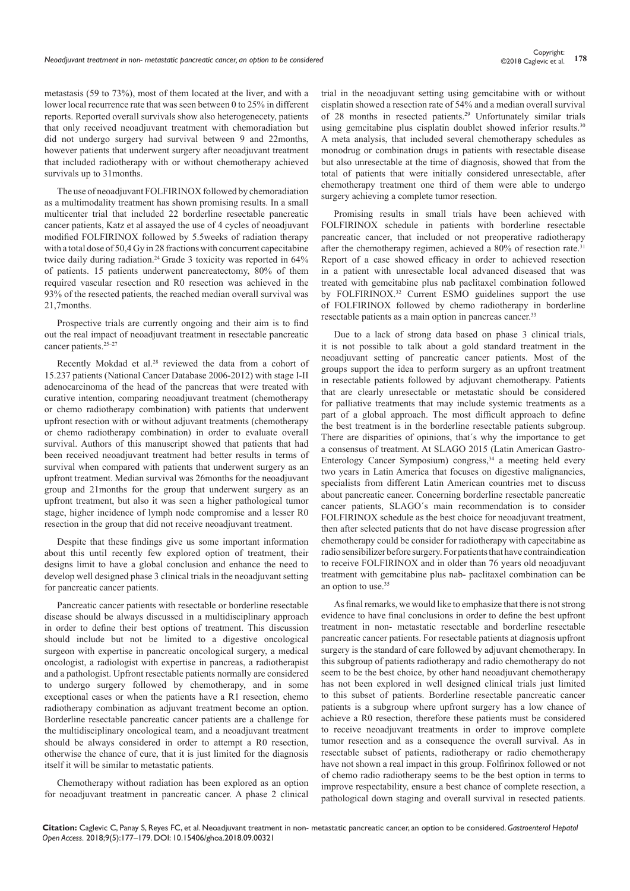metastasis (59 to 73%), most of them located at the liver, and with a lower local recurrence rate that was seen between 0 to 25% in different reports. Reported overall survivals show also heterogenecety, patients that only received neoadjuvant treatment with chemoradiation but did not undergo surgery had survival between 9 and 22months, however patients that underwent surgery after neoadjuvant treatment that included radiotherapy with or without chemotherapy achieved survivals up to 31months.

The use of neoadjuvant FOLFIRINOX followed by chemoradiation as a multimodality treatment has shown promising results. In a small multicenter trial that included 22 borderline resectable pancreatic cancer patients, Katz et al assayed the use of 4 cycles of neoadjuvant modified FOLFIRINOX followed by 5.5weeks of radiation therapy with a total dose of 50,4 Gy in 28 fractions with concurrent capecitabine twice daily during radiation.<sup>24</sup> Grade 3 toxicity was reported in 64% of patients. 15 patients underwent pancreatectomy, 80% of them required vascular resection and R0 resection was achieved in the 93% of the resected patients, the reached median overall survival was 21,7months.

Prospective trials are currently ongoing and their aim is to find out the real impact of neoadjuvant treatment in resectable pancreatic cancer patients.<sup>25-27</sup>

Recently Mokdad et al.<sup>28</sup> reviewed the data from a cohort of 15.237 patients (National Cancer Database 2006-2012) with stage I-II adenocarcinoma of the head of the pancreas that were treated with curative intention, comparing neoadjuvant treatment (chemotherapy or chemo radiotherapy combination) with patients that underwent upfront resection with or without adjuvant treatments (chemotherapy or chemo radiotherapy combination) in order to evaluate overall survival. Authors of this manuscript showed that patients that had been received neoadjuvant treatment had better results in terms of survival when compared with patients that underwent surgery as an upfront treatment. Median survival was 26months for the neoadjuvant group and 21months for the group that underwent surgery as an upfront treatment, but also it was seen a higher pathological tumor stage, higher incidence of lymph node compromise and a lesser R0 resection in the group that did not receive neoadjuvant treatment.

Despite that these findings give us some important information about this until recently few explored option of treatment, their designs limit to have a global conclusion and enhance the need to develop well designed phase 3 clinical trials in the neoadjuvant setting for pancreatic cancer patients.

Pancreatic cancer patients with resectable or borderline resectable disease should be always discussed in a multidisciplinary approach in order to define their best options of treatment. This discussion should include but not be limited to a digestive oncological surgeon with expertise in pancreatic oncological surgery, a medical oncologist, a radiologist with expertise in pancreas, a radiotherapist and a pathologist. Upfront resectable patients normally are considered to undergo surgery followed by chemotherapy, and in some exceptional cases or when the patients have a R1 resection, chemo radiotherapy combination as adjuvant treatment become an option. Borderline resectable pancreatic cancer patients are a challenge for the multidisciplinary oncological team, and a neoadjuvant treatment should be always considered in order to attempt a R0 resection, otherwise the chance of cure, that it is just limited for the diagnosis itself it will be similar to metastatic patients.

Chemotherapy without radiation has been explored as an option for neoadjuvant treatment in pancreatic cancer. A phase 2 clinical trial in the neoadjuvant setting using gemcitabine with or without cisplatin showed a resection rate of 54% and a median overall survival of 28 months in resected patients.29 Unfortunately similar trials using gemcitabine plus cisplatin doublet showed inferior results.<sup>30</sup> A meta analysis, that included several chemotherapy schedules as monodrug or combination drugs in patients with resectable disease but also unresectable at the time of diagnosis, showed that from the total of patients that were initially considered unresectable, after chemotherapy treatment one third of them were able to undergo surgery achieving a complete tumor resection.

Promising results in small trials have been achieved with FOLFIRINOX schedule in patients with borderline resectable pancreatic cancer, that included or not preoperative radiotherapy after the chemotherapy regimen, achieved a 80% of resection rate.<sup>31</sup> Report of a case showed efficacy in order to achieved resection in a patient with unresectable local advanced diseased that was treated with gemcitabine plus nab paclitaxel combination followed by FOLFIRINOX.32 Current ESMO guidelines support the use of FOLFIRINOX followed by chemo radiotherapy in borderline resectable patients as a main option in pancreas cancer.<sup>33</sup>

Due to a lack of strong data based on phase 3 clinical trials, it is not possible to talk about a gold standard treatment in the neoadjuvant setting of pancreatic cancer patients. Most of the groups support the idea to perform surgery as an upfront treatment in resectable patients followed by adjuvant chemotherapy. Patients that are clearly unresectable or metastatic should be considered for palliative treatments that may include systemic treatments as a part of a global approach. The most difficult approach to define the best treatment is in the borderline resectable patients subgroup. There are disparities of opinions, that´s why the importance to get a consensus of treatment. At SLAGO 2015 (Latin American Gastro-Enterology Cancer Symposium) congress,  $34$  a meeting held every two years in Latin America that focuses on digestive malignancies, specialists from different Latin American countries met to discuss about pancreatic cancer. Concerning borderline resectable pancreatic cancer patients, SLAGO´s main recommendation is to consider FOLFIRINOX schedule as the best choice for neoadjuvant treatment, then after selected patients that do not have disease progression after chemotherapy could be consider for radiotherapy with capecitabine as radio sensibilizer before surgery. For patients that have contraindication to receive FOLFIRINOX and in older than 76 years old neoadjuvant treatment with gemcitabine plus nab- paclitaxel combination can be an option to use.<sup>35</sup>

As final remarks, we would like to emphasize that there is not strong evidence to have final conclusions in order to define the best upfront treatment in non- metastatic resectable and borderline resectable pancreatic cancer patients. For resectable patients at diagnosis upfront surgery is the standard of care followed by adjuvant chemotherapy. In this subgroup of patients radiotherapy and radio chemotherapy do not seem to be the best choice, by other hand neoadjuvant chemotherapy has not been explored in well designed clinical trials just limited to this subset of patients. Borderline resectable pancreatic cancer patients is a subgroup where upfront surgery has a low chance of achieve a R0 resection, therefore these patients must be considered to receive neoadjuvant treatments in order to improve complete tumor resection and as a consequence the overall survival. As in resectable subset of patients, radiotherapy or radio chemotherapy have not shown a real impact in this group. Folfirinox followed or not of chemo radio radiotherapy seems to be the best option in terms to improve respectability, ensure a best chance of complete resection, a pathological down staging and overall survival in resected patients.

**Citation:** Caglevic C, Panay S, Reyes FC, et al. Neoadjuvant treatment in non- metastatic pancreatic cancer, an option to be considered. *Gastroenterol Hepatol Open Access.* 2018;9(5):177‒179. DOI: [10.15406/ghoa.2018.09.00321](https://doi.org/10.15406/ghoa.2018.09.00321)